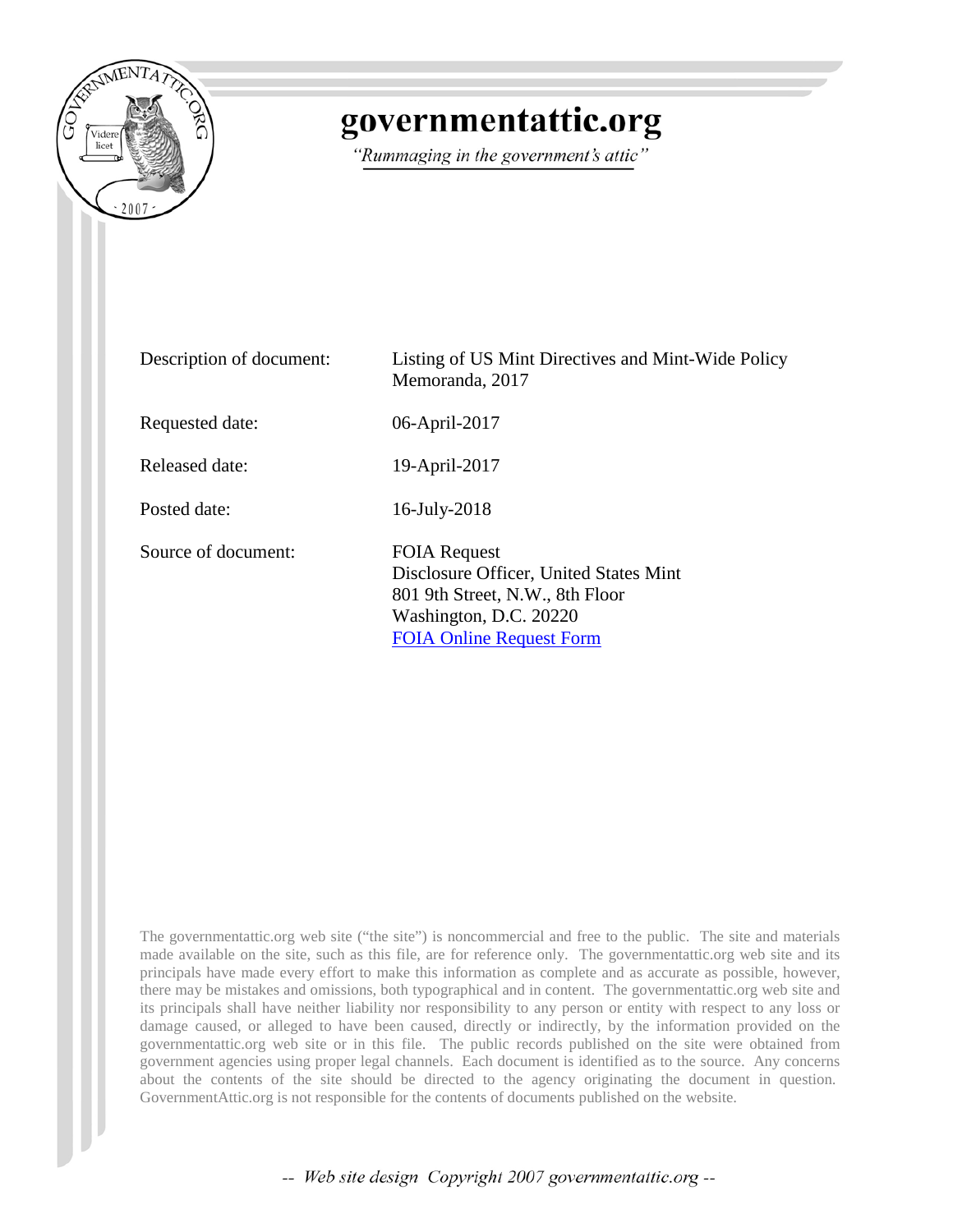

## governmentattic.org

"Rummaging in the government's attic"

| Description of document: | Listing of US Mint Directives and Mint-Wide Policy<br>Memoranda, 2017                                                                                         |
|--------------------------|---------------------------------------------------------------------------------------------------------------------------------------------------------------|
| Requested date:          | 06-April-2017                                                                                                                                                 |
| Released date:           | 19-April-2017                                                                                                                                                 |
| Posted date:             | 16-July-2018                                                                                                                                                  |
| Source of document:      | <b>FOIA Request</b><br>Disclosure Officer, United States Mint<br>801 9th Street, N.W., 8th Floor<br>Washington, D.C. 20220<br><b>FOIA Online Request Form</b> |

The governmentattic.org web site ("the site") is noncommercial and free to the public. The site and materials made available on the site, such as this file, are for reference only. The governmentattic.org web site and its principals have made every effort to make this information as complete and as accurate as possible, however, there may be mistakes and omissions, both typographical and in content. The governmentattic.org web site and its principals shall have neither liability nor responsibility to any person or entity with respect to any loss or damage caused, or alleged to have been caused, directly or indirectly, by the information provided on the governmentattic.org web site or in this file. The public records published on the site were obtained from government agencies using proper legal channels. Each document is identified as to the source. Any concerns about the contents of the site should be directed to the agency originating the document in question. GovernmentAttic.org is not responsible for the contents of documents published on the website.

-- Web site design Copyright 2007 governmentattic.org --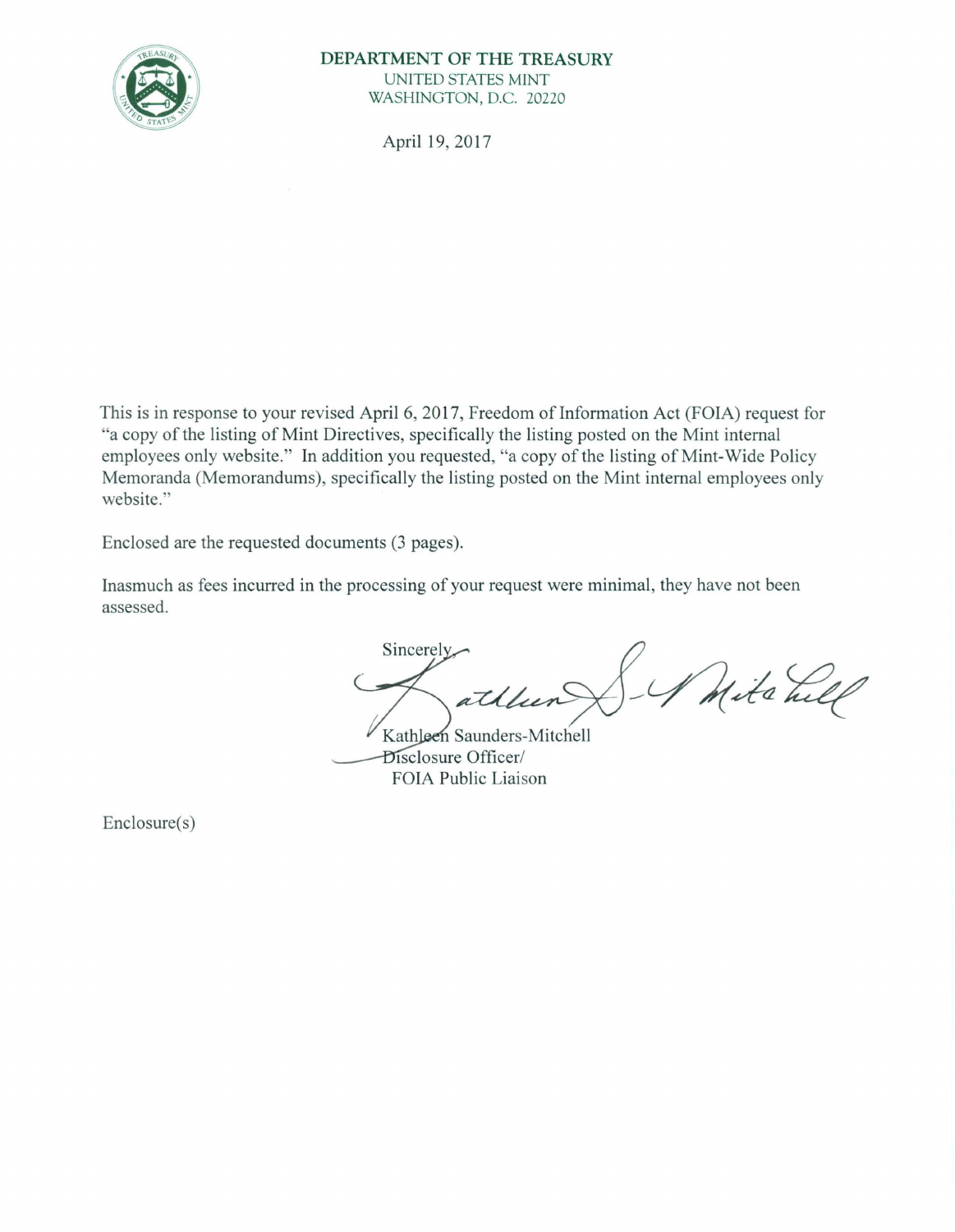

## **DEPARTMENT OF THE TREASURY**  UNITED STATES MINT WASHINGTON, D.C. 20220

April 19, 2017

This is in response to your revised April 6, 2017, Freedom of Information Act (FOIA) request for "a copy of the listing of Mint Directives, specifically the listing posted on the Mint internal employees only website." In addition you requested, "a copy of the listing of Mint-Wide Policy Memoranda (Memorandums), specifically the listing posted on the Mint internal employees only website."

Enclosed are the requested documents (3 pages).

Inasmuch as fees incurred in the processing of your request were minimal, they have not been assessed.

Sincerely. *,,zt/4,,s;xf* L/Jr~ ~

Kathleen Saunders-Mitchell Disclosure Officer/ FOIA Public Liaison

Enclosure(s)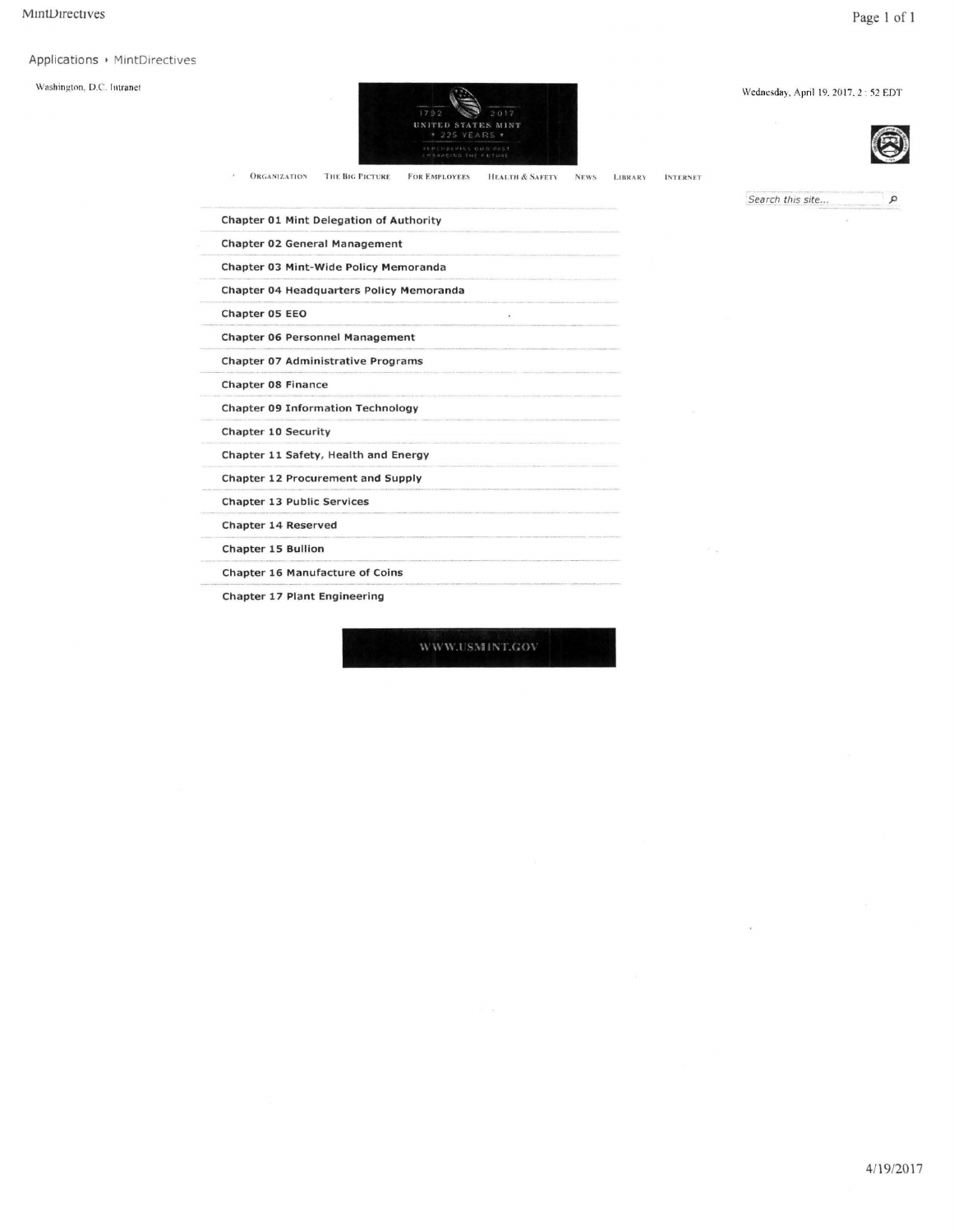## Applications > MintDirectives

 $\bar{z}$ 

Washington, D.C. Intranet



**LIBRARY** 

**INTERNET** 



Wednesday, April 19, 2017, 2:52 EDT

Search this site...

Chapter 01 Mint Delegation of Authority Chapter 02 General Management Chapter 03 Mint-Wide Policy Memoranda Chapter 04 Headquarters Policy Memoranda Chapter 05 EEO  $\bar{\mathbf{x}}$ Chapter 06 Personnel Management Chapter 07 Administrative Programs Chapter 08 Finance **Chapter 09 Information Technology** Chapter 10 Security Chapter 11 Safety, Health and Energy **Chapter 12 Procurement and Supply Chapter 13 Public Services** Chapter 14 Reserved **Chapter 15 Bullion** Chapter 16 Manufacture of Coins Chapter 17 Plant Engineering

**ORGANIZATION** THE BIG PICTURE FOR EMPLOYEES HEALTH & SAFETY NEWS

WWW.USMINT.GOV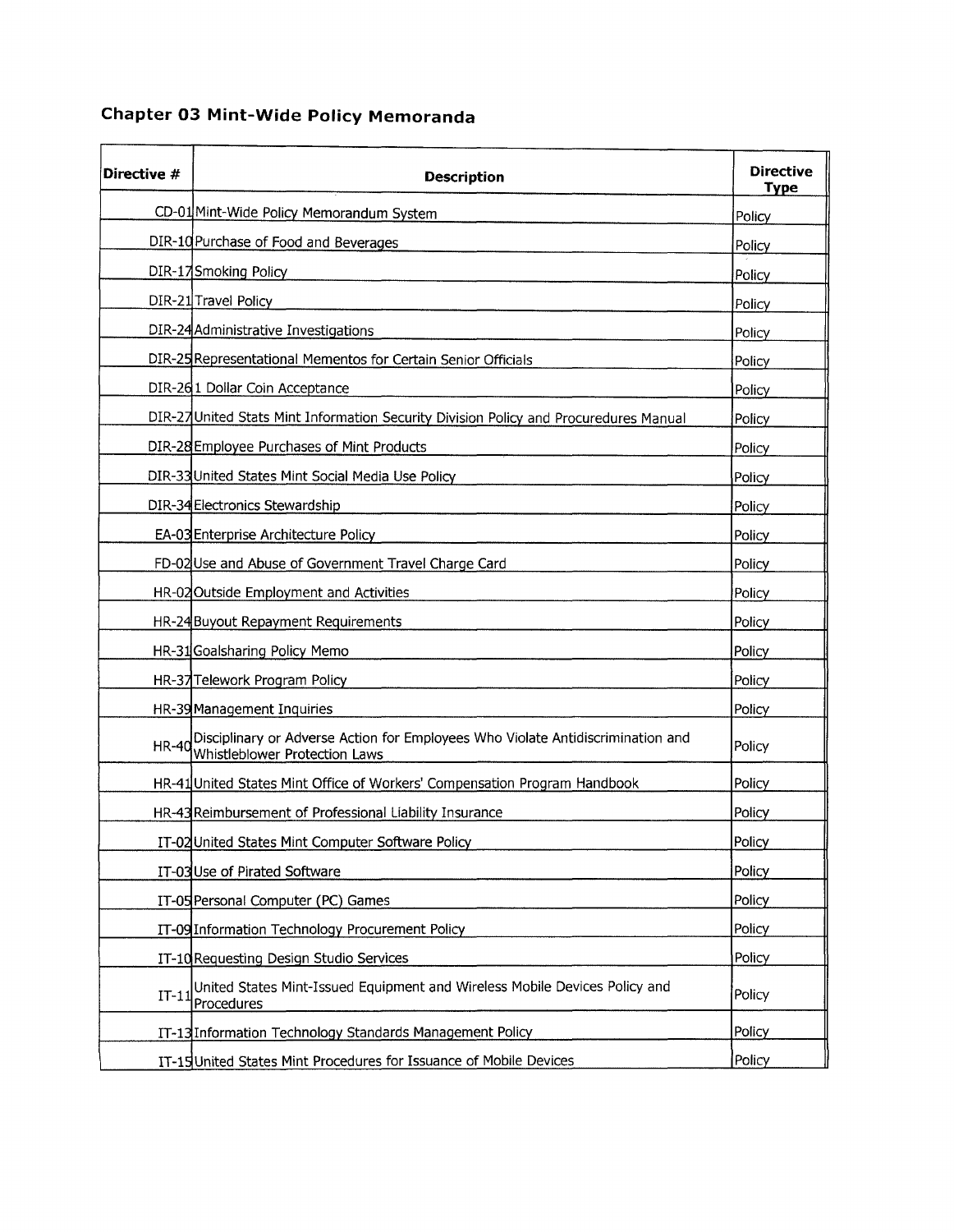## **Chapter 03 Mint-Wide Policy Memoranda**

| Directive #  | <b>Description</b>                                                                                               | <b>Directive</b><br><b>Type</b> |
|--------------|------------------------------------------------------------------------------------------------------------------|---------------------------------|
|              | CD-01 Mint-Wide Policy Memorandum System                                                                         | Policy                          |
|              | DIR-10 Purchase of Food and Beverages                                                                            | Policy                          |
|              | DIR-17 Smoking Policy                                                                                            | Policy                          |
|              | DIR-21 Travel Policy                                                                                             | Policy                          |
|              | DIR-24 Administrative Investigations                                                                             | Policy                          |
|              | DIR-25 Representational Mementos for Certain Senior Officials                                                    | Policy                          |
|              | DIR-261 Dollar Coin Acceptance                                                                                   | Policy                          |
|              | DIR-27 United Stats Mint Information Security Division Policy and Procuredures Manual                            | Policy                          |
|              | DIR-28 Employee Purchases of Mint Products                                                                       | Policy                          |
|              | DIR-33 United States Mint Social Media Use Policy                                                                | Policy                          |
|              | DIR-34 Electronics Stewardship                                                                                   | Policy                          |
|              | EA-03 Enterprise Architecture Policy                                                                             | Policy                          |
|              | FD-02 Use and Abuse of Government Travel Charge Card                                                             | Policy                          |
|              | HR-02 Outside Employment and Activities                                                                          | Policy                          |
|              | HR-24 Buyout Repayment Requirements                                                                              | Policy                          |
|              | HR-31 Goalsharing Policy Memo                                                                                    | Policy                          |
|              | HR-37 Telework Program Policy                                                                                    | Policy                          |
|              | HR-39 Management Inquiries                                                                                       | Policy                          |
| <b>HR-40</b> | Disciplinary or Adverse Action for Employees Who Violate Antidiscrimination and<br>Whistleblower Protection Laws | Policy                          |
|              | HR-41 United States Mint Office of Workers' Compensation Program Handbook                                        | Policy                          |
|              | HR-43 Reimbursement of Professional Liability Insurance                                                          | Policy                          |
|              | IT-02 United States Mint Computer Software Policy                                                                | Policy                          |
|              | IT-03 Use of Pirated Software                                                                                    | Policy                          |
|              | IT-05 Personal Computer (PC) Games                                                                               | Policy                          |
|              | IT-09 Information Technology Procurement Policy                                                                  | Policy                          |
|              | IT-10 Requesting Design Studio Services                                                                          | Policy                          |
| $IT-11$      | United States Mint-Issued Equipment and Wireless Mobile Devices Policy and<br>Procedures                         | Policy                          |
|              | IT-13 Information Technology Standards Management Policy                                                         | Policy                          |
|              | IT-15 United States Mint Procedures for Issuance of Mobile Devices                                               | Policy                          |